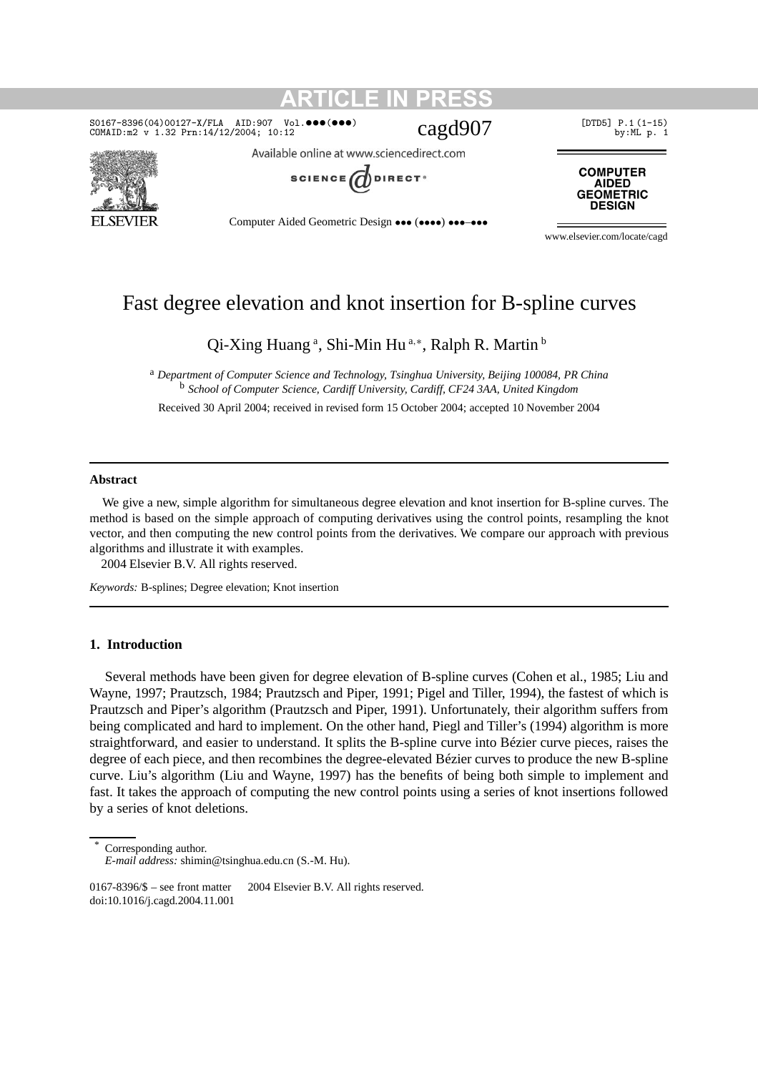## $\frac{\texttt{SO167-8396(04)00127-X/FLA} {\texttt{AID:907}}$   $\texttt{Vol.�} \bullet \bullet \bullet \bullet \bullet \bullet \bullet \bullet}$  [DTD5] P.1(1-15) cOMAID:m2 v 1.32 Prn:14/12/2004; 10:12 cagd907



Available online at www.sciencedirect.com

**ARTICLE IN PRESS**



**COMPUTER AIDED GEOMETRIC DESIGN** 

Computer Aided Geometric Design ••• (••••) •••–•••

www.elsevier.com/locate/cagd

### Fast degree elevation and knot insertion for B-spline curves

Qi-Xing Huang<sup>a</sup>, Shi-Min Hu<sup>a,\*</sup>, Ralph R. Martin<sup>b</sup>

<sup>a</sup> *Department of Computer Science and Technology, Tsinghua University, Beijing 100084, PR China* <sup>b</sup> *School of Computer Science, Cardiff University, Cardiff, CF24 3AA, United Kingdom*

Received 30 April 2004; received in revised form 15 October 2004; accepted 10 November 2004

#### **Abstract**

We give a new, simple algorithm for simultaneous degree elevation and knot insertion for B-spline curves. The method is based on the simple approach of computing derivatives using the control points, resampling the knot vector, and then computing the new control points from the derivatives. We compare our approach with previous algorithms and illustrate it with examples.

2004 Elsevier B.V. All rights reserved.

*Keywords:* B-splines; Degree elevation; Knot insertion

#### **1. Introduction**

Several methods have been given for degree elevation of B-spline curves (Cohen et al., 1985; Liu and Wayne, 1997; Prautzsch, 1984; Prautzsch and Piper, 1991; Pigel and Tiller, 1994), the fastest of which is Prautzsch and Piper's algorithm (Prautzsch and Piper, 1991). Unfortunately, their algorithm suffers from being complicated and hard to implement. On the other hand, Piegl and Tiller's (1994) algorithm is more straightforward, and easier to understand. It splits the B-spline curve into Bézier curve pieces, raises the degree of each piece, and then recombines the degree-elevated Bézier curves to produce the new B-spline curve. Liu's algorithm (Liu and Wayne, 1997) has the benefits of being both simple to implement and fast. It takes the approach of computing the new control points using a series of knot insertions followed by a series of knot deletions.

Corresponding author.

*E-mail address:* shimin@tsinghua.edu.cn (S.-M. Hu).

<sup>0167-8396/\$ –</sup> see front matter  $\degree$  2004 Elsevier B.V. All rights reserved. doi:10.1016/j.cagd.2004.11.001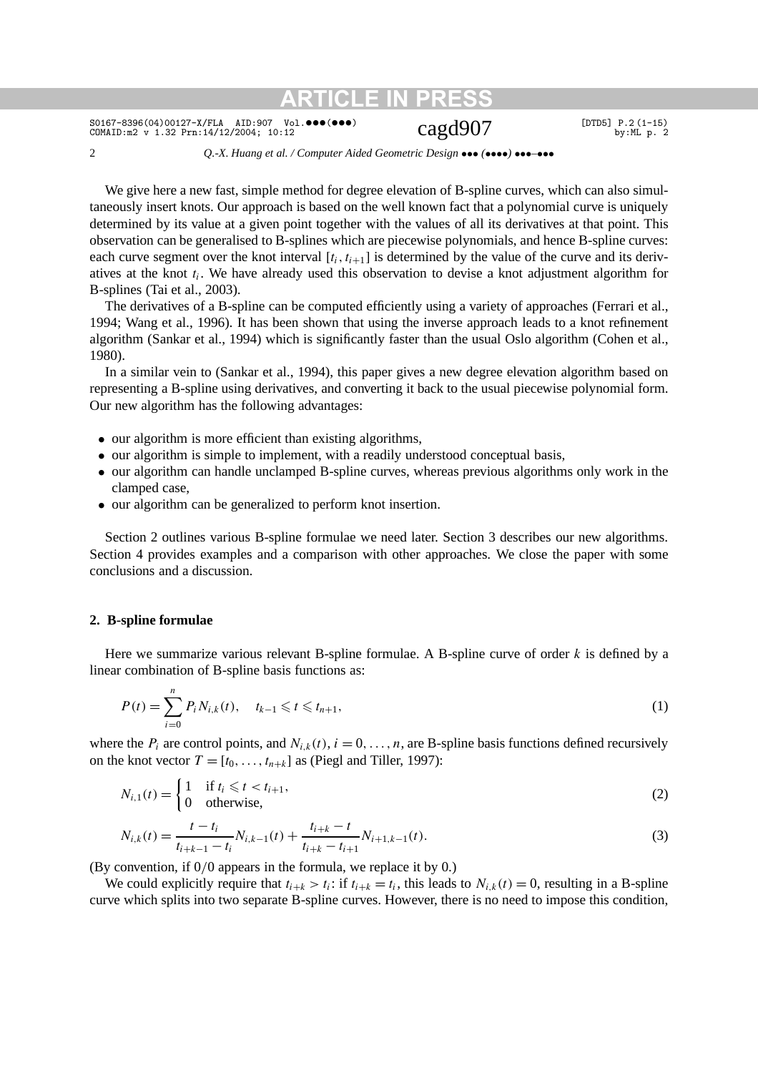$\frac{\texttt{SO167-8396(04)00127-X/FLA} {\texttt{AID:907}} \quad \texttt{Vol.�} \bullet \bullet \bullet \bullet \bullet \bullet \bullet} {\texttt{Cagd907}} \quad \texttt{[DTDB]} \, \texttt{P.2 (1-15)} \quad \texttt{by:ML p. 2}}$ 

2 *Q.-X. Huang et al. / Computer Aided Geometric Design* ••• *(*••••*)* •••*–*•••

We give here a new fast, simple method for degree elevation of B-spline curves, which can also simultaneously insert knots. Our approach is based on the well known fact that a polynomial curve is uniquely determined by its value at a given point together with the values of all its derivatives at that point. This observation can be generalised to B-splines which are piecewise polynomials, and hence B-spline curves: each curve segment over the knot interval  $[t_i, t_{i+1}]$  is determined by the value of the curve and its derivatives at the knot  $t_i$ . We have already used this observation to devise a knot adjustment algorithm for B-splines (Tai et al., 2003).

The derivatives of a B-spline can be computed efficiently using a variety of approaches (Ferrari et al., 1994; Wang et al., 1996). It has been shown that using the inverse approach leads to a knot refinement algorithm (Sankar et al., 1994) which is significantly faster than the usual Oslo algorithm (Cohen et al., 1980).

In a similar vein to (Sankar et al., 1994), this paper gives a new degree elevation algorithm based on representing a B-spline using derivatives, and converting it back to the usual piecewise polynomial form. Our new algorithm has the following advantages:

- our algorithm is more efficient than existing algorithms,
- our algorithm is simple to implement, with a readily understood conceptual basis,
- our algorithm can handle unclamped B-spline curves, whereas previous algorithms only work in the clamped case,
- our algorithm can be generalized to perform knot insertion.

Section 2 outlines various B-spline formulae we need later. Section 3 describes our new algorithms. Section 4 provides examples and a comparison with other approaches. We close the paper with some conclusions and a discussion.

#### **2. B-spline formulae**

Here we summarize various relevant B-spline formulae. A B-spline curve of order *k* is defined by a linear combination of B-spline basis functions as:

$$
P(t) = \sum_{i=0}^{n} P_i N_{i,k}(t), \quad t_{k-1} \leq t \leq t_{n+1},
$$
\n(1)

where the  $P_i$  are control points, and  $N_{i,k}(t)$ ,  $i = 0, \ldots, n$ , are B-spline basis functions defined recursively on the knot vector  $T = [t_0, \ldots, t_{n+k}]$  as (Piegl and Tiller, 1997):

$$
N_{i,1}(t) = \begin{cases} 1 & \text{if } t_i \leq t < t_{i+1}, \\ 0 & \text{otherwise}, \end{cases} \tag{2}
$$

$$
N_{i,k}(t) = \frac{t - t_i}{t_{i+k-1} - t_i} N_{i,k-1}(t) + \frac{t_{i+k} - t}{t_{i+k} - t_{i+1}} N_{i+1,k-1}(t).
$$
\n(3)

(By convention, if 0*/*0 appears in the formula, we replace it by 0.)

We could explicitly require that  $t_{i+k} > t_i$ : if  $t_{i+k} = t_i$ , this leads to  $N_{i,k}(t) = 0$ , resulting in a B-spline curve which splits into two separate B-spline curves. However, there is no need to impose this condition,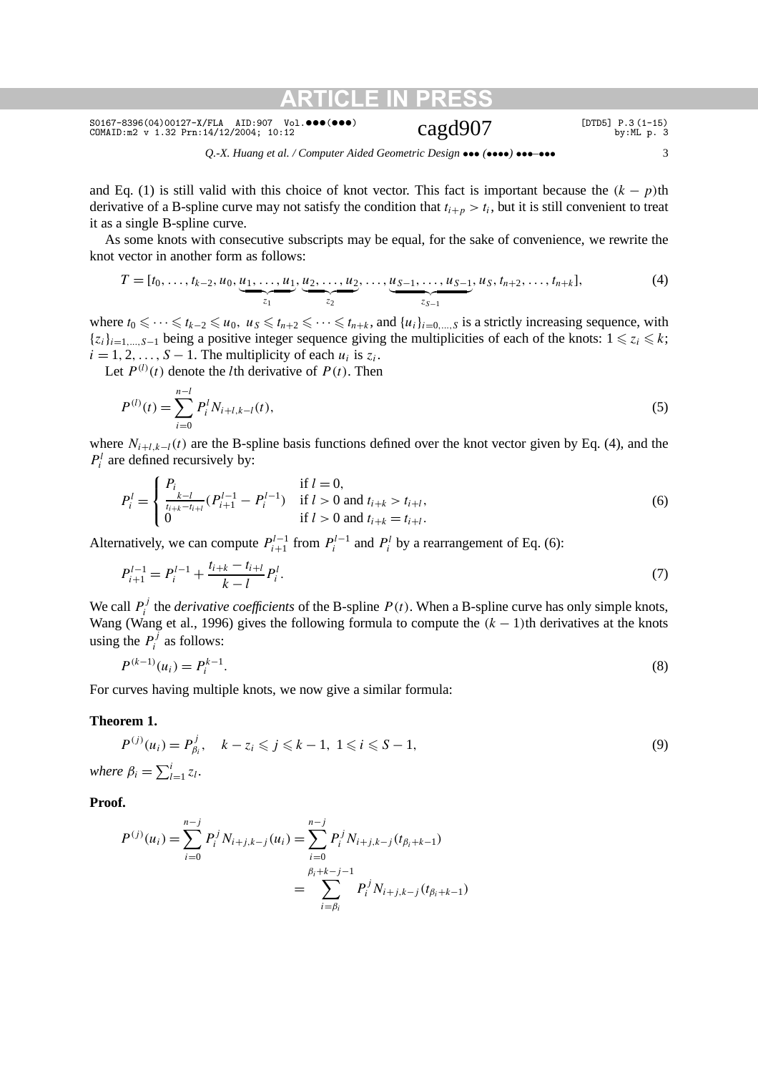$\frac{\texttt{SO167-8396(04)00127-X/FLA} {\texttt{AID:907}} \quad \texttt{Vol.�} \bullet \bullet \bullet \bullet \bullet \bullet \bullet} {\texttt{Cagd907}} \quad \texttt{[DTDB]} \, \texttt{P.3 (1-15)} \quad \texttt{by:ML p. 3}}$ 

*Q.-X. Huang et al. / Computer Aided Geometric Design* ••• *(*••••*)* •••*–*••• 3

and Eq. (1) is still valid with this choice of knot vector. This fact is important because the  $(k - p)$ th derivative of a B-spline curve may not satisfy the condition that  $t_{i+p} > t_i$ , but it is still convenient to treat it as a single B-spline curve.

As some knots with consecutive subscripts may be equal, for the sake of convenience, we rewrite the knot vector in another form as follows:

$$
T = [t_0, \ldots, t_{k-2}, u_0, \underbrace{u_1, \ldots, u_1}_{z_1}, \underbrace{u_2, \ldots, u_2}_{z_2}, \ldots, \underbrace{u_{S-1}, \ldots, u_{S-1}}_{z_{S-1}}, u_S, t_{n+2}, \ldots, t_{n+k}],
$$
\n
$$
(4)
$$

where  $t_0$  ≤ ··· ≤  $t_{k-2}$  ≤  $u_0$ ,  $u_s$  ≤  $t_{n+2}$  ≤ ··· ≤  $t_{n+k}$ , and  $\{u_i\}_{i=0,\dots,S}$  is a strictly increasing sequence, with  ${z_i}_{i=1,\ldots,s-1}$  being a positive integer sequence giving the multiplicities of each of the knots:  $1 \le z_i \le k$ ;  $i = 1, 2, \ldots, S - 1$ . The multiplicity of each  $u_i$  is  $z_i$ .

Let  $P^{(l)}(t)$  denote the *l*th derivative of  $P(t)$ . Then

$$
P^{(l)}(t) = \sum_{i=0}^{n-l} P_i^l N_{i+l,k-l}(t),
$$
\n(5)

where *Ni*<sup>+</sup>*l,k*<sup>−</sup>*l(t)* are the B-spline basis functions defined over the knot vector given by Eq. (4), and the  $P_i^l$  are defined recursively by:

$$
P_i^l = \begin{cases} P_i & \text{if } l = 0, \\ \frac{1}{t_{i+k}-t_{i+l}} (P_{i+1}^{l-1} - P_i^{l-1}) & \text{if } l > 0 \text{ and } t_{i+k} > t_{i+l}, \\ 0 & \text{if } l > 0 \text{ and } t_{i+k} = t_{i+l}. \end{cases}
$$
(6)

Alternatively, we can compute  $P_{i+1}^{l-1}$  from  $P_i^{l-1}$  and  $P_i^l$  by a rearrangement of Eq. (6):

$$
P_{i+1}^{l-1} = P_i^{l-1} + \frac{t_{i+k} - t_{i+l}}{k-l} P_i^l.
$$
\n(7)

We call  $P_i^j$  the *derivative coefficients* of the B-spline  $P(t)$ . When a B-spline curve has only simple knots, Wang (Wang et al., 1996) gives the following formula to compute the  $(k - 1)$ th derivatives at the knots using the  $P_i^j$  as follows:

$$
P^{(k-1)}(u_i) = P_i^{k-1}.
$$
\n(8)

For curves having multiple knots, we now give a similar formula:

#### **Theorem 1.**

$$
P^{(j)}(u_i) = P_{\beta_i}^j, \quad k - z_i \leqslant j \leqslant k - 1, \ 1 \leqslant i \leqslant S - 1,
$$
\nwhere  $\beta_i = \sum_{l=1}^i z_l$ .

\n(9)

#### **Proof.**

$$
P^{(j)}(u_i) = \sum_{i=0}^{n-j} P_i^j N_{i+j,k-j}(u_i) = \sum_{i=0}^{n-j} P_i^j N_{i+j,k-j}(t_{\beta_i+k-1})
$$
  
= 
$$
\sum_{i=\beta_i}^{\beta_i+k-j-1} P_i^j N_{i+j,k-j}(t_{\beta_i+k-1})
$$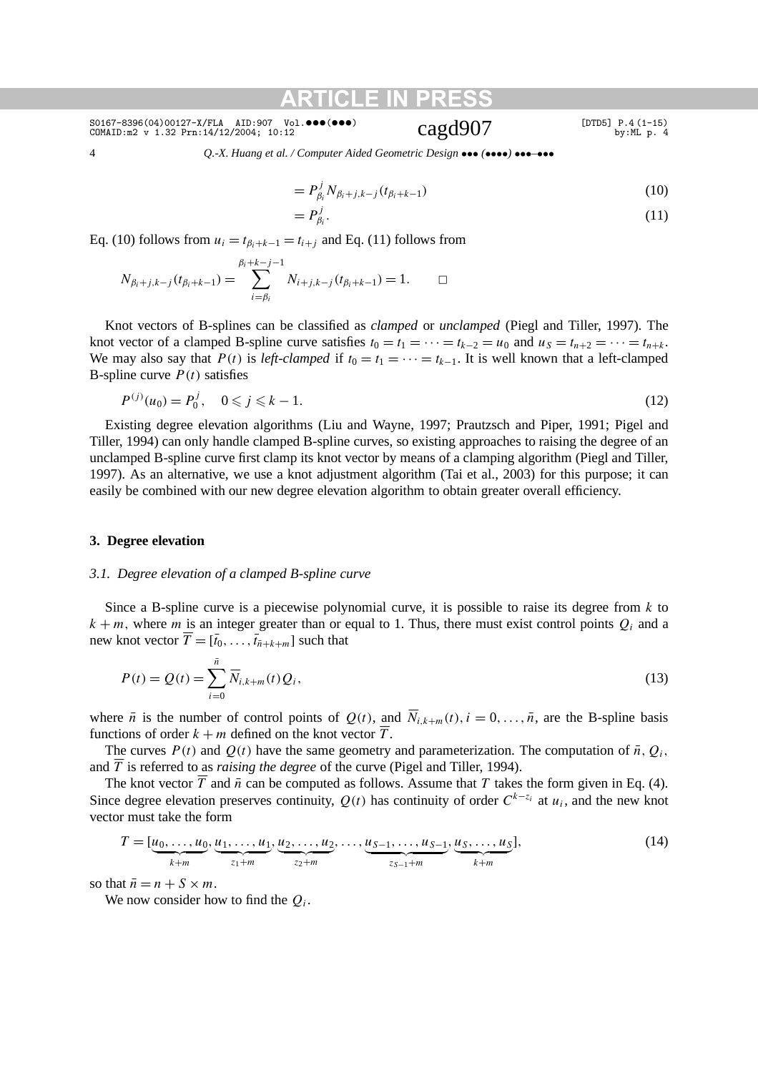## $\frac{\texttt{SO167-8396(04)00127-X/FLA} {\texttt{AID:907}}$   $\texttt{Vol.�} \bullet \bullet \bullet \bullet \bullet \bullet \bullet \bullet}$  [DTD5] P.4 (1-15) cOMAID:m2 v 1.32 Prn:14/12/2004; 10:12 cagd907

4 *Q.-X. Huang et al. / Computer Aided Geometric Design* ••• *(*••••*)* •••*–*•••

$$
=P_{\beta_i}^j N_{\beta_i+j,k-j}(t_{\beta_i+k-1})
$$
\n(10)

$$
=P_{\beta_i}^j.\tag{11}
$$

Eq. (10) follows from  $u_i = t_{\beta_i+k-1} = t_{i+j}$  and Eq. (11) follows from

$$
N_{\beta_i+j,k-j}(t_{\beta_i+k-1})=\sum_{i=\beta_i}^{\beta_i+k-j-1}N_{i+j,k-j}(t_{\beta_i+k-1})=1.\quad \Box
$$

Knot vectors of B-splines can be classified as *clamped* or *unclamped* (Piegl and Tiller, 1997). The knot vector of a clamped B-spline curve satisfies  $t_0 = t_1 = \cdots = t_{k-2} = u_0$  and  $u_s = t_{n+2} = \cdots = t_{n+k}$ . We may also say that *P*(*t*) is *left-clamped* if  $t_0 = t_1 = \cdots = t_{k-1}$ . It is well known that a left-clamped B-spline curve  $P(t)$  satisfies

$$
P^{(j)}(u_0) = P_0^j, \quad 0 \le j \le k - 1. \tag{12}
$$

Existing degree elevation algorithms (Liu and Wayne, 1997; Prautzsch and Piper, 1991; Pigel and Tiller, 1994) can only handle clamped B-spline curves, so existing approaches to raising the degree of an unclamped B-spline curve first clamp its knot vector by means of a clamping algorithm (Piegl and Tiller, 1997). As an alternative, we use a knot adjustment algorithm (Tai et al., 2003) for this purpose; it can easily be combined with our new degree elevation algorithm to obtain greater overall efficiency.

#### **3. Degree elevation**

#### *3.1. Degree elevation of a clamped B-spline curve*

Since a B-spline curve is a piecewise polynomial curve, it is possible to raise its degree from *k* to  $k + m$ , where *m* is an integer greater than or equal to 1. Thus, there must exist control points  $Q_i$  and a new knot vector  $\overline{T} = [\overline{t}_0, \ldots, \overline{t}_{\overline{n}+k+m}]$  such that

$$
P(t) = Q(t) = \sum_{i=0}^{\bar{n}} \overline{N}_{i,k+m}(t) Q_i,
$$
\n(13)

where  $\bar{n}$  is the number of control points of  $Q(t)$ , and  $\bar{N}_{i,k+m}(t)$ ,  $i = 0, \ldots, \bar{n}$ , are the B-spline basis functions of order  $k + m$  defined on the knot vector  $\overline{T}$ .

The curves  $P(t)$  and  $Q(t)$  have the same geometry and parameterization. The computation of  $\bar{n}$ ,  $Q_i$ , and  $\overline{T}$  is referred to as *raising the degree* of the curve (Pigel and Tiller, 1994).

The knot vector  $\overline{T}$  and  $\overline{n}$  can be computed as follows. Assume that *T* takes the form given in Eq. (4). Since degree elevation preserves continuity,  $Q(t)$  has continuity of order  $C^{k-z_i}$  at  $u_i$ , and the new knot vector must take the form

$$
T = [\underbrace{u_0, \dots, u_0}_{k+m}, \underbrace{u_1, \dots, u_1}_{z_1+m}, \underbrace{u_2, \dots, u_2}_{z_2+m}, \dots, \underbrace{u_{S-1}, \dots, u_{S-1}}_{z_{S-1}+m}, \underbrace{u_S, \dots, u_S}_{k+m}],
$$
\n(14)

so that  $\bar{n} = n + S \times m$ .

We now consider how to find the *Qi*.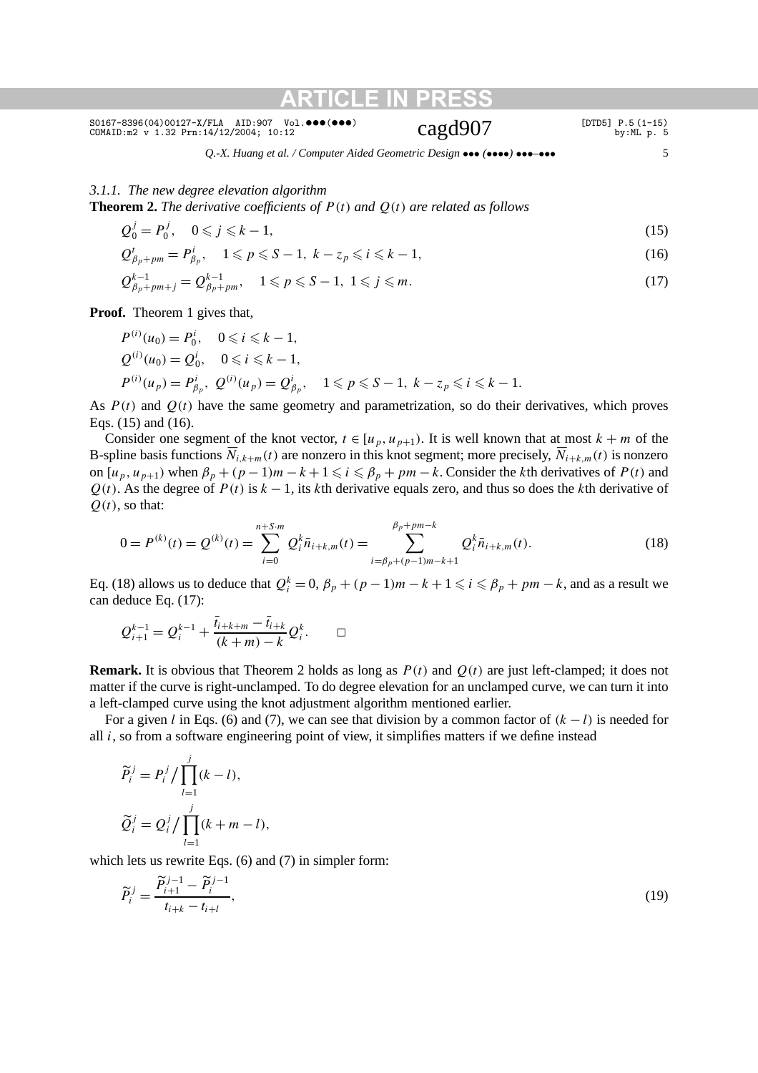$\frac{\texttt{SO167-8396(04)00127-X/FLA} {\texttt{AID:907}}$   $\texttt{Vol.�} \bullet \bullet \bullet \bullet \bullet \bullet \bullet \bullet}$  [DTD5] P.5 (1-15) cOMAID:m2 v 1.32 Prn:14/12/2004; 10:12 cagd907

*Q.-X. Huang et al. / Computer Aided Geometric Design* ••• *(*••••*)* •••*–*••• 5

### *3.1.1. The new degree elevation algorithm*

**Theorem 2.** *The derivative coefficients of*  $P(t)$  *and*  $Q(t)$  *are related as follows* 

$$
Q_0^j = P_0^j, \quad 0 \le j \le k - 1,\tag{15}
$$

$$
Q_{\beta_p + pm}^i = P_{\beta_p}^i, \quad 1 \le p \le S - 1, \ k - z_p \le i \le k - 1,
$$
 (16)

$$
Q_{\beta_p + pm + j}^{k-1} = Q_{\beta_p + pm}^{k-1}, \quad 1 \leqslant p \leqslant S - 1, \ 1 \leqslant j \leqslant m. \tag{17}
$$

**Proof.** Theorem 1 gives that,

$$
P^{(i)}(u_0) = P_0^i, \quad 0 \le i \le k - 1,
$$
  
\n
$$
Q^{(i)}(u_0) = Q_0^i, \quad 0 \le i \le k - 1,
$$
  
\n
$$
P^{(i)}(u_p) = P_{\beta_p}^i, \quad Q^{(i)}(u_p) = Q_{\beta_p}^i, \quad 1 \le p \le S - 1, \quad k - z_p \le i \le k - 1.
$$

As  $P(t)$  and  $Q(t)$  have the same geometry and parametrization, so do their derivatives, which proves Eqs. (15) and (16).

Consider one segment of the knot vector,  $t \in [u_p, u_{p+1})$ . It is well known that at most  $k + m$  of the B-spline basis functions  $\overline{N}_{i,k+m}(t)$  are nonzero in this knot segment; more precisely,  $\overline{N}_{i+k,m}(t)$  is nonzero on  $[u_p, u_{p+1}]$  when  $\beta_p + (p-1)m - k + 1 \leq i \leq \beta_p + pm - k$ . Consider the *k*th derivatives of  $P(t)$  and  $Q(t)$ . As the degree of  $P(t)$  is  $k - 1$ , its *k*th derivative equals zero, and thus so does the *k*th derivative of  $Q(t)$ , so that:

$$
0 = P^{(k)}(t) = Q^{(k)}(t) = \sum_{i=0}^{n+5\cdot m} Q_i^k \bar{n}_{i+k,m}(t) = \sum_{i=\beta_p+(p-1)m-k+1}^{\beta_p+pm-k} Q_i^k \bar{n}_{i+k,m}(t).
$$
\n(18)

Eq. (18) allows us to deduce that  $Q_i^k = 0$ ,  $\beta_p + (p-1)m - k + 1 \leq i \leq \beta_p + pm - k$ , and as a result we can deduce Eq. (17):

$$
Q_{i+1}^{k-1} = Q_i^{k-1} + \frac{\bar{t}_{i+k+m} - \bar{t}_{i+k}}{(k+m)-k} Q_i^k.
$$

**Remark.** It is obvious that Theorem 2 holds as long as  $P(t)$  and  $Q(t)$  are just left-clamped; it does not matter if the curve is right-unclamped. To do degree elevation for an unclamped curve, we can turn it into a left-clamped curve using the knot adjustment algorithm mentioned earlier.

For a given *l* in Eqs. (6) and (7), we can see that division by a common factor of *(k* − *l)* is needed for all *i*, so from a software engineering point of view, it simplifies matters if we define instead

$$
\widetilde{P}_i^j = P_i^j / \prod_{l=1}^j (k - l),
$$
  

$$
\widetilde{Q}_i^j = Q_i^j / \prod_{l=1}^j (k + m - l),
$$

which lets us rewrite Eqs. (6) and (7) in simpler form:

$$
\widetilde{P}_i^j = \frac{\widetilde{P}_{i+1}^{j-1} - \widetilde{P}_i^{j-1}}{t_{i+k} - t_{i+l}},
$$
\n(19)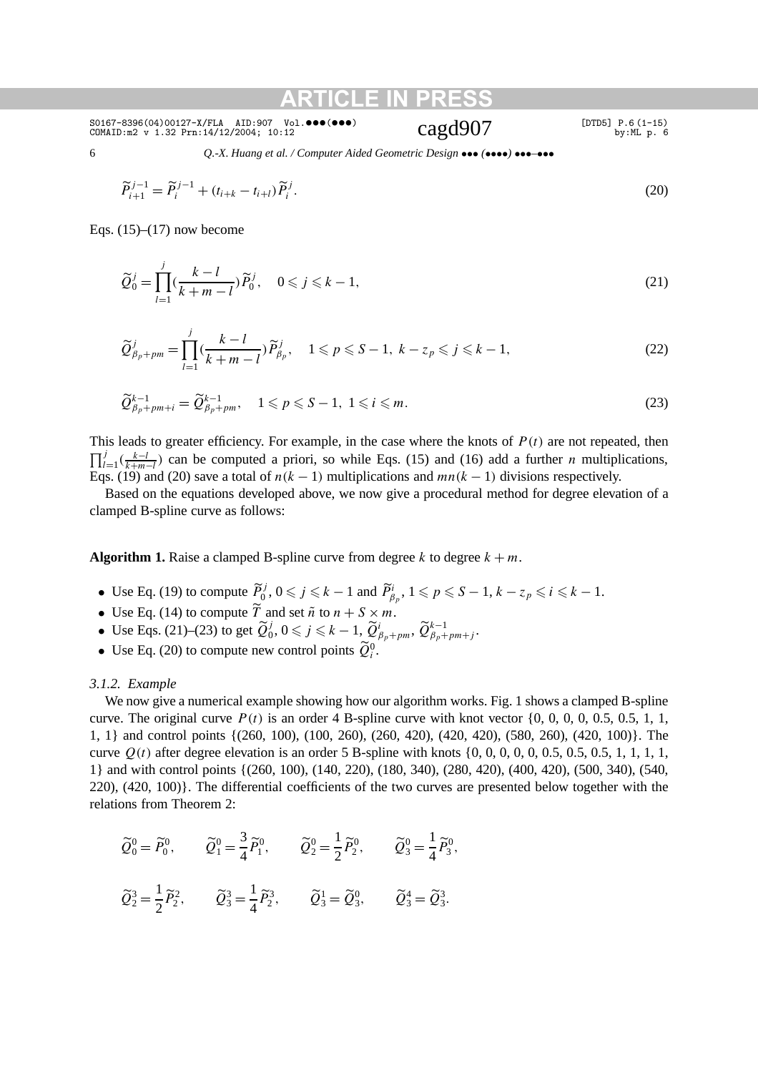6 *Q.-X. Huang et al. / Computer Aided Geometric Design* ••• *(*••••*)* •••*–*•••

$$
\widetilde{P}_{i+1}^{j-1} = \widetilde{P}_i^{j-1} + (t_{i+k} - t_{i+l}) \widetilde{P}_i^j.
$$
\n(20)

Eqs.  $(15)$ – $(17)$  now become

$$
\widetilde{Q}_0^j = \prod_{l=1}^j \left( \frac{k-l}{k+m-l} \right) \widetilde{P}_0^j, \quad 0 \le j \le k-1,
$$
\n(21)

$$
\widetilde{Q}_{\beta_p+pm}^j = \prod_{l=1}^j \left(\frac{k-l}{k+m-l}\right) \widetilde{P}_{\beta_p}^j, \quad 1 \leqslant p \leqslant S-1, \ k-z_p \leqslant j \leqslant k-1,\tag{22}
$$

$$
\widetilde{Q}_{\beta_p+pm+i}^{k-1} = \widetilde{Q}_{\beta_p+pm}^{k-1}, \quad 1 \leqslant p \leqslant S-1, \ 1 \leqslant i \leqslant m. \tag{23}
$$

This leads to greater efficiency. For example, in the case where the knots of  $P(t)$  are not repeated, then  $\prod_{l=1}^{j}$  ( $\frac{k-l}{k+m-l}$ ) can be computed a priori, so while Eqs. (15) and (16) add a further *n* multiplications, Eqs. (19) and (20) save a total of  $n(k - 1)$  multiplications and  $mn(k - 1)$  divisions respectively.

Based on the equations developed above, we now give a procedural method for degree elevation of a clamped B-spline curve as follows:

**Algorithm 1.** Raise a clamped B-spline curve from degree  $k$  to degree  $k + m$ .

- Use Eq. (19) to compute  $\widetilde{P}_0^j$ ,  $0 \le j \le k 1$  and  $\widetilde{P}_{\beta_p}^i$ ,  $1 \le p \le S 1$ ,  $k z_p \le i \le k 1$ .
- Use Eq. (14) to compute  $\overline{T}$  and set  $\tilde{n}$  to  $n + S \times m$ .
- Use Eqs. (21)–(23) to get  $\widetilde{Q}_{0}^{j}$ ,  $0 \leq j \leq k 1$ ,  $\widetilde{Q}_{\beta_{p}+pm}^{i}$ ,  $\widetilde{Q}_{\beta_{p}+pm+j}^{k-1}$ .
- Use Eq. (20) to compute new control points  $\widetilde{Q}_i^0$ .

#### *3.1.2. Example*

We now give a numerical example showing how our algorithm works. Fig. 1 shows a clamped B-spline curve. The original curve *P (t)* is an order 4 B-spline curve with knot vector {0, 0, 0, 0, 0.5, 0.5, 1, 1, 1, 1} and control points {(260, 100), (100, 260), (260, 420), (420, 420), (580, 260), (420, 100)}. The curve *Q(t)* after degree elevation is an order 5 B-spline with knots {0, 0, 0, 0, 0, 0.5, 0.5, 0.5, 1, 1, 1, 1, 1} and with control points {(260, 100), (140, 220), (180, 340), (280, 420), (400, 420), (500, 340), (540, 220), (420, 100)}. The differential coefficients of the two curves are presented below together with the relations from Theorem 2:

$$
\widetilde{Q}_0^0 = \widetilde{P}_0^0, \qquad \widetilde{Q}_1^0 = \frac{3}{4} \widetilde{P}_1^0, \qquad \widetilde{Q}_2^0 = \frac{1}{2} \widetilde{P}_2^0, \qquad \widetilde{Q}_3^0 = \frac{1}{4} \widetilde{P}_3^0,
$$

$$
\widetilde{Q}_2^3 = \frac{1}{2}\widetilde{P}_2^2, \qquad \widetilde{Q}_3^3 = \frac{1}{4}\widetilde{P}_2^3, \qquad \widetilde{Q}_3^1 = \widetilde{Q}_3^0, \qquad \widetilde{Q}_3^4 = \widetilde{Q}_3^3.
$$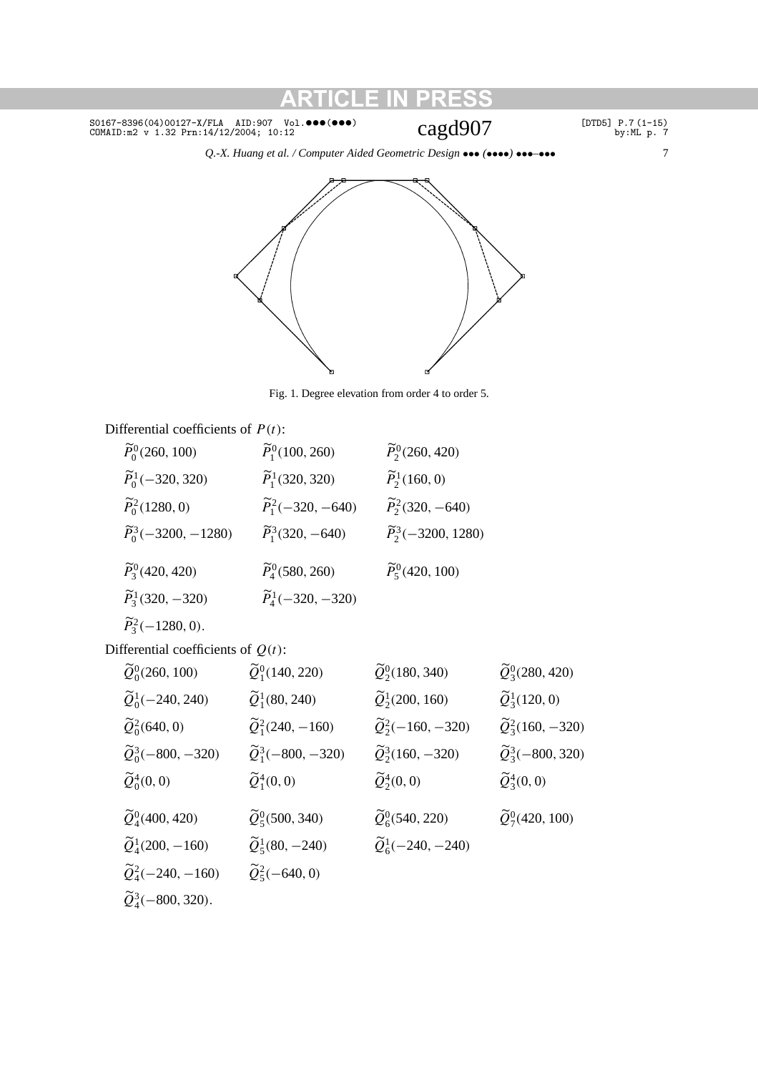$\frac{\texttt{SO167-8396(04)00127-X/FLA} {\texttt{AID:907}} \quad \texttt{Vol.�} \bullet \bullet \bullet \bullet \bullet \bullet \bullet} {\texttt{Cagd907}} \quad \texttt{[DTDB]} \, \texttt{P.7 (1-15)} \quad \texttt{by:ML p. 7}}$ 

*Q.-X. Huang et al. / Computer Aided Geometric Design* ••• *(*••••*)* •••*–*••• 7





Fig. 1. Degree elevation from order 4 to order 5.

### Differential coefficients of *P (t)*:

| $\widetilde{P}_0^0(260, 100)$     | $\widetilde{P}_1^0(100, 260)$   | $\widetilde{P}_2^0(260, 420)$    |
|-----------------------------------|---------------------------------|----------------------------------|
| $\widetilde{P}_0^1(-320, 320)$    | $\widetilde{P}_1^1(320, 320)$   | $\widetilde{P}_2^1(160, 0)$      |
| $\widetilde{P}_0^2(1280, 0)$      | $\widetilde{P}_1^2(-320, -640)$ | $\widetilde{P}_2^2(320, -640)$   |
| $\widetilde{P}_0^3(-3200, -1280)$ | $\widetilde{P}_1^3(320, -640)$  | $\widetilde{P}_2^3(-3200, 1280)$ |
| $\widetilde{P}_3^0(420, 420)$     | $\widetilde{P}_4^0(580, 260)$   | $\widetilde{P}_5^0(420, 100)$    |
| $\widetilde{P}_3^1(320, -320)$    | $\widetilde{P}_4^1(-320, -320)$ |                                  |
|                                   |                                 |                                  |

$$
\widetilde{P}_3^2(-1280,0).
$$

Differential coefficients of *Q(t)*:

| $\widetilde{Q}_0^0(260, 100)$    | $\widetilde{Q}_1^0(140, 220)$   | $\widetilde{Q}^0_2(180, 340)$   | $\widetilde{Q}^0_3(280, 420)$      |
|----------------------------------|---------------------------------|---------------------------------|------------------------------------|
| $\widetilde{Q}_0^1(-240, 240)$   | $\widetilde{Q}_1^1(80, 240)$    | $\widetilde{Q}_2^1(200, 160)$   | $\widetilde{Q}_3^1(120, 0)$        |
| $\widetilde{Q}_0^2(640, 0)$      | $\widetilde{Q}_1^2(240, -160)$  | $\widetilde{Q}_2^2(-160, -320)$ | $\widetilde{Q}_3^2(160, -320)$     |
| $\widetilde{Q}_0^3(-800, -320)$  | $\widetilde{Q}_1^3(-800, -320)$ | $\tilde{Q}_2^3(160, -320)$      | $\widetilde{Q}_{3}^{3}(-800, 320)$ |
| $\widetilde{Q}_0^4(0,0)$         | $\widetilde{Q}_1^4(0,0)$        | $\widetilde{Q}_2^4(0,0)$        | $\widetilde{Q}_3^4(0,0)$           |
| $\widetilde{Q}_4^0(400, 420)$    | $\widetilde{Q}^0_5(500, 340)$   | $\widetilde{Q}_6^0(540, 220)$   | $\widetilde{Q}_7^0(420, 100)$      |
| $\widetilde{Q}_4^1(200,-160)$    | $\widetilde{Q}_5^1(80, -240)$   | $\widetilde{Q}_6^1(-240, -240)$ |                                    |
| $\widetilde{Q}_4^2(-240,-160)$   | $\widetilde{Q}_5^2(-640, 0)$    |                                 |                                    |
| $\widetilde{Q}_4^3(-800, 320)$ . |                                 |                                 |                                    |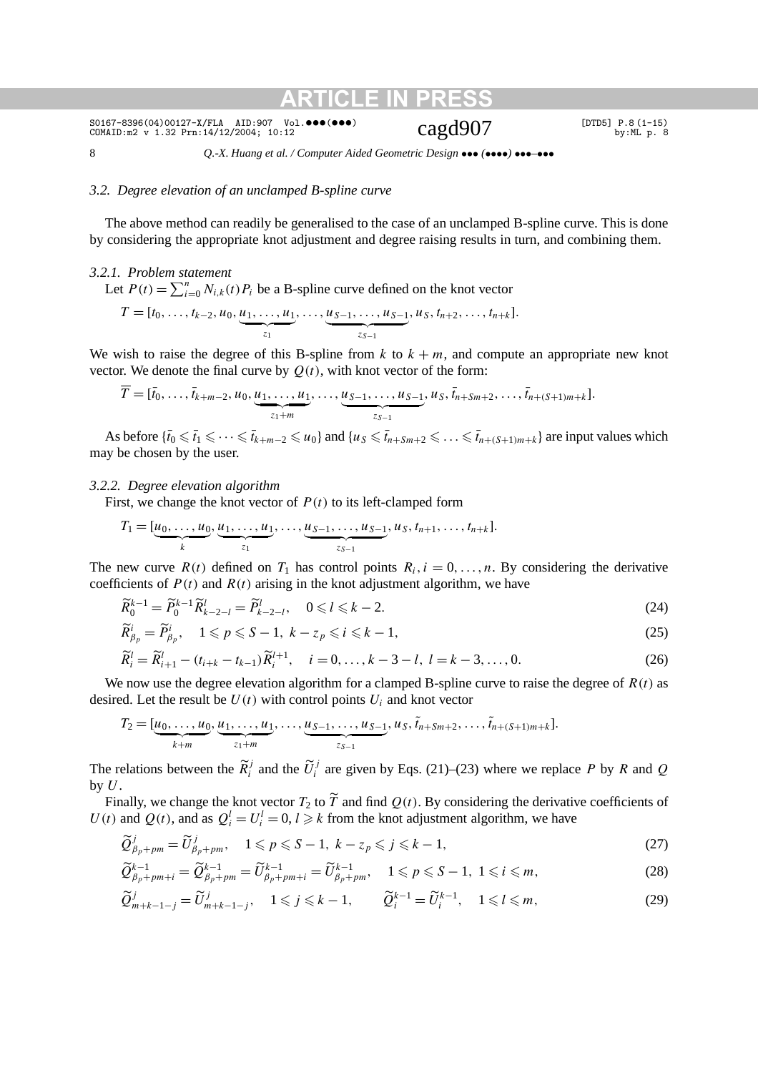8 *Q.-X. Huang et al. / Computer Aided Geometric Design* ••• *(*••••*)* •••*–*•••

**ATICLE II** 

#### *3.2. Degree elevation of an unclamped B-spline curve*

The above method can readily be generalised to the case of an unclamped B-spline curve. This is done by considering the appropriate knot adjustment and degree raising results in turn, and combining them.

#### *3.2.1. Problem statement*

Let  $P(t) = \sum_{i=0}^{n} N_{i,k}(t) P_i$  be a B-spline curve defined on the knot vector  $T = [t_0, \ldots, t_{k-2}, u_0, \underbrace{u_1, \ldots, u_1}_{z_1}, \ldots, \underbrace{u_{S-1}, \ldots, u_{S-1}}_{z_{S-1}}]$  $\overline{z_{S-1}}$  $, u_S, t_{n+2}, \ldots, t_{n+k}].$ 

We wish to raise the degree of this B-spline from  $k$  to  $k + m$ , and compute an appropriate new knot vector. We denote the final curve by  $Q(t)$ , with knot vector of the form:

$$
\overline{T} = [\overline{t}_0, \ldots, \overline{t}_{k+m-2}, u_0, \underbrace{u_1, \ldots, u_1}_{z_1+m}, \ldots, \underbrace{u_{S-1}, \ldots, u_{S-1}}_{z_{S-1}}, u_S, \overline{t}_{n+Sm+2}, \ldots, \overline{t}_{n+(S+1)m+k}].
$$

As before  $\{\bar{t}_0 \leq \bar{t}_1 \leq \cdots \leq \bar{t}_{k+m-2} \leq u_0\}$  and  $\{u_S \leq \bar{t}_{n+Sm+2} \leq \cdots \leq \bar{t}_{n+(S+1)m+k}\}$  are input values which may be chosen by the user.

#### *3.2.2. Degree elevation algorithm*

First, we change the knot vector of  $P(t)$  to its left-clamped form

$$
T_1 = [\underbrace{u_0, \ldots, u_0}_{k}, \underbrace{u_1, \ldots, u_1}_{z_1}, \ldots, \underbrace{u_{S-1}, \ldots, u_{S-1}}_{z_{S-1}}, u_S, t_{n+1}, \ldots, t_{n+k}].
$$

The new curve  $R(t)$  defined on  $T_1$  has control points  $R_i$ ,  $i = 0, \ldots, n$ . By considering the derivative coefficients of  $P(t)$  and  $R(t)$  arising in the knot adjustment algorithm, we have

$$
\widetilde{R}_0^{k-1} = \widetilde{P}_0^{k-1} \widetilde{R}_{k-2-l}^l = \widetilde{P}_{k-2-l}^l, \quad 0 \le l \le k-2.
$$
\n(24)

$$
\widetilde{R}_{\beta_p}^i = \widetilde{P}_{\beta_p}^i, \quad 1 \leq p \leq S - 1, \ k - z_p \leq i \leq k - 1,\tag{25}
$$

$$
\widetilde{R}_{i}^{l} = \widetilde{R}_{i+1}^{l} - (t_{i+k} - t_{k-1})\widetilde{R}_{i}^{l+1}, \quad i = 0, \ldots, k-3-l, \ l = k-3, \ldots, 0.
$$
\n
$$
(26)
$$

We now use the degree elevation algorithm for a clamped B-spline curve to raise the degree of  $R(t)$  as desired. Let the result be  $U(t)$  with control points  $U_i$  and knot vector

$$
T_2 = [\underbrace{u_0, \ldots, u_0}_{k+m}, \underbrace{u_1, \ldots, u_1}_{z_1+m}, \ldots, \underbrace{u_{S-1}, \ldots, u_{S-1}}_{z_{S-1}}, u_S, \tilde{t}_{n+Sm+2}, \ldots, \tilde{t}_{n+(S+1)m+k}].
$$

The relations between the  $\widetilde{R}_i^j$  and the  $\widetilde{U}_i^j$  are given by Eqs. (21)–(23) where we replace *P* by *R* and *Q* by *U*.

Finally, we change the knot vector  $T_2$  to  $T$  and find  $Q(t)$ . By considering the derivative coefficients of *U*(*t*) and *Q*(*t*), and as  $Q_i^l = U_i^l = 0$ ,  $l \ge k$  from the knot adjustment algorithm, we have

$$
\widetilde{Q}_{\beta_p+pm}^j = \widetilde{U}_{\beta_p+pm}^j, \quad 1 \leq p \leq S-1, \ k-z_p \leq j \leq k-1,\tag{27}
$$

$$
\widetilde{Q}_{\beta_p+pm+i}^{k-1} = \widetilde{Q}_{\beta_p+pm}^{k-1} = \widetilde{U}_{\beta_p+pm+i}^{k-1} = \widetilde{U}_{\beta_p+pm}^{k-1}, \quad 1 \leqslant p \leqslant S-1, \ 1 \leqslant i \leqslant m,
$$
\n
$$
(28)
$$

$$
\widetilde{Q}_{m+k-1-j}^j = \widetilde{U}_{m+k-1-j}^j, \quad 1 \leqslant j \leqslant k-1, \qquad \widetilde{Q}_i^{k-1} = \widetilde{U}_i^{k-1}, \quad 1 \leqslant l \leqslant m,\tag{29}
$$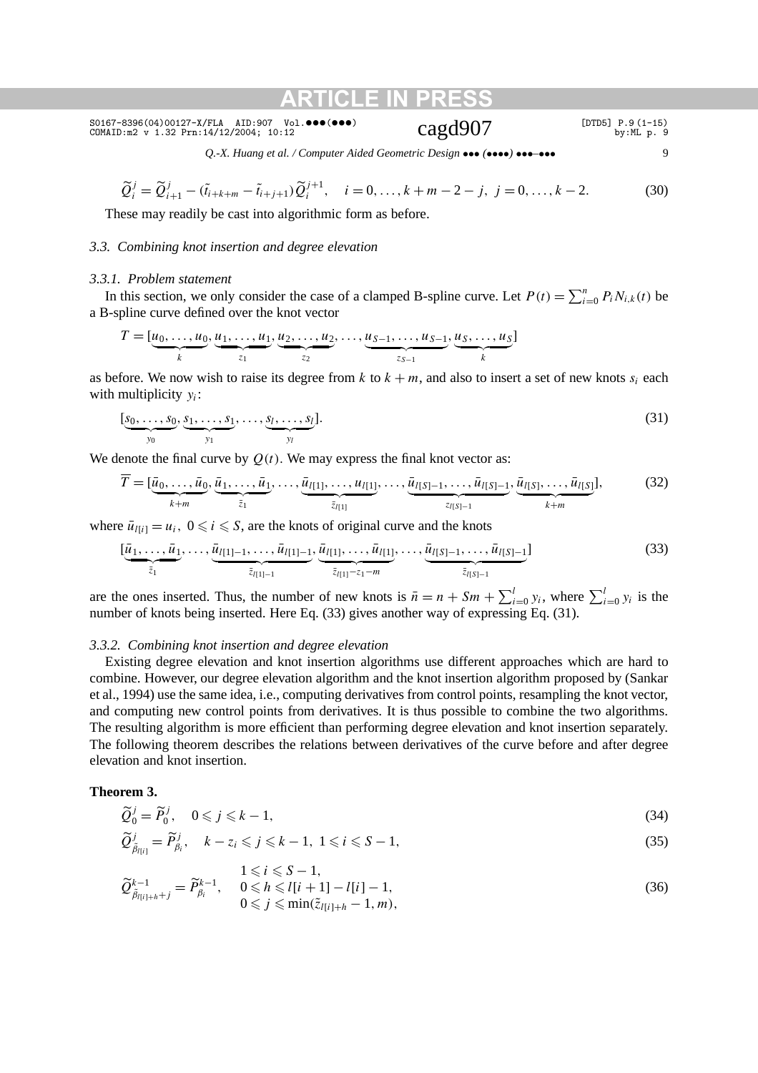*Q.-X. Huang et al. / Computer Aided Geometric Design* ••• *(*••••*)* •••*–*••• 9

$$
\widetilde{Q}_{i}^{j} = \widetilde{Q}_{i+1}^{j} - (\widetilde{t}_{i+k+m} - \widetilde{t}_{i+j+1})\widetilde{Q}_{i}^{j+1}, \quad i = 0, \dots, k+m-2-j, \ j = 0, \dots, k-2.
$$
 (30)

These may readily be cast into algorithmic form as before.

#### *3.3. Combining knot insertion and degree elevation*

#### *3.3.1. Problem statement*

In this section, we only consider the case of a clamped B-spline curve. Let  $P(t) = \sum_{i=0}^{n} P_i N_{i,k}(t)$  be a B-spline curve defined over the knot vector

$$
T = [\underbrace{u_0, \ldots, u_0}_{k}, \underbrace{u_1, \ldots, u_1}_{z_1}, \underbrace{u_2, \ldots, u_2}_{z_2}, \ldots, \underbrace{u_{S-1}, \ldots, u_{S-1}}_{z_{S-1}}, \underbrace{u_S, \ldots, u_S}_{k}]
$$

as before. We now wish to raise its degree from  $k$  to  $k + m$ , and also to insert a set of new knots  $s_i$  each with multiplicity *yi*:

$$
[\underbrace{s_0, \ldots, s_0}_{y_0}, \underbrace{s_1, \ldots, s_1}_{y_1}, \ldots, \underbrace{s_l, \ldots, s_l}_{y_l}].
$$
\n(31)

We denote the final curve by  $Q(t)$ . We may express the final knot vector as:

$$
\overline{T} = [\underbrace{\bar{u}_0, \dots, \bar{u}_0}_{k+m}, \underbrace{\bar{u}_1, \dots, \bar{u}_1}_{\bar{z}_1}, \dots, \underbrace{\bar{u}_{l[1]}, \dots, u_{l[1]}}_{\bar{z}_{l[1]}}, \dots, \underbrace{\bar{u}_{l[S]-1}, \dots, \bar{u}_{l[S]-1}}_{z_{l[S]-1}}, \underbrace{\bar{u}_{l[S]}, \dots, \bar{u}_{l[S]}}_{k+m}].
$$
\n(32)

where  $\bar{u}_{i[i]} = u_i$ ,  $0 \le i \le S$ , are the knots of original curve and the knots

$$
[\underbrace{\bar{u}_1, \ldots, \bar{u}_1}_{\bar{z}_1}, \ldots, \underbrace{\bar{u}_{l[1]-1}, \ldots, \bar{u}_{l[1]-1}}_{\bar{z}_{l[1]-1}}, \underbrace{\bar{u}_{l[1]}, \ldots, \bar{u}_{l[1]}, \ldots, \underbrace{\bar{u}_{l[S]-1}, \ldots, \bar{u}_{l[S]-1}}_{\bar{z}_{l[S]-1}}]
$$
(33)

are the ones inserted. Thus, the number of new knots is  $\bar{n} = n + Sm + \sum_{i=0}^{l} y_i$ , where  $\sum_{i=0}^{l} y_i$  is the number of knots being inserted. Here Eq. (33) gives another way of expressing Eq. (31).

#### *3.3.2. Combining knot insertion and degree elevation*

Existing degree elevation and knot insertion algorithms use different approaches which are hard to combine. However, our degree elevation algorithm and the knot insertion algorithm proposed by (Sankar et al., 1994) use the same idea, i.e., computing derivatives from control points, resampling the knot vector, and computing new control points from derivatives. It is thus possible to combine the two algorithms. The resulting algorithm is more efficient than performing degree elevation and knot insertion separately. The following theorem describes the relations between derivatives of the curve before and after degree elevation and knot insertion.

#### **Theorem 3.**

$$
\widetilde{Q}_0^j = \widetilde{P}_0^j, \quad 0 \le j \le k - 1,\tag{34}
$$

$$
\widetilde{Q}_{\tilde{\beta}_{l[i]}}^j = \widetilde{P}_{\beta_i}^j, \quad k - z_i \leqslant j \leqslant k - 1, \ 1 \leqslant i \leqslant S - 1,\tag{35}
$$

$$
\widetilde{Q}_{\widetilde{\beta}_{l(i)+h}+j}^{k-1} = \widetilde{P}_{\beta_i}^{k-1}, \quad \begin{array}{c} 1 \le i \le S-1, \\ 0 \le h \le l[i+1]-l[i]-1, \\ 0 \le j \le \min(\widetilde{z}_{l[i]+h}-1,m), \end{array} \tag{36}
$$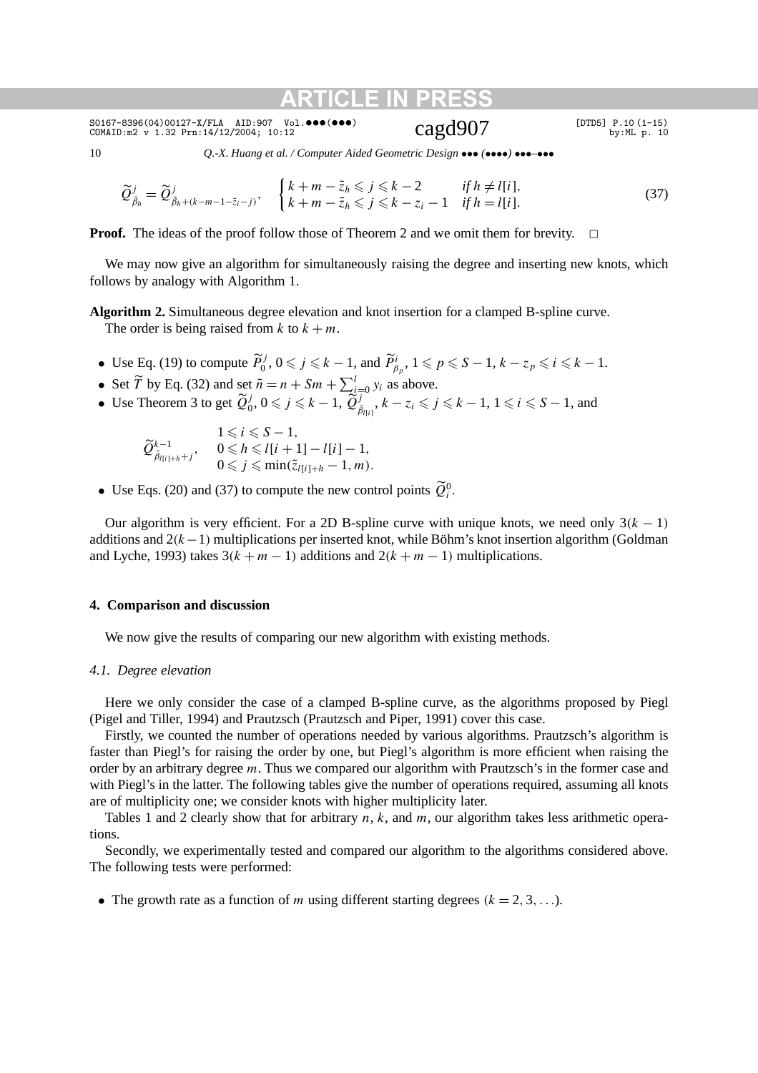$\frac{\texttt{SO167-8396(04)00127-X/FLA} {\texttt{AID:907}}$  Vol.•••(•••)  $\texttt{Cagd907}$  [DTD5] P.10(1-15) by:ML p. 10

10 *Q.-X. Huang et al. / Computer Aided Geometric Design* ••• *(*••••*)* •••*–*•••

$$
\widetilde{Q}_{\widetilde{\beta}_h}^j = \widetilde{Q}_{\widetilde{\beta}_h + (k-m-1-\widetilde{z}_i-j)}^j, \quad \begin{cases} k+m-\widetilde{z}_h \leqslant j \leqslant k-2 & \text{if } h \neq l[i], \\ k+m-\widetilde{z}_h \leqslant j \leqslant k-z_i-1 & \text{if } h=l[i]. \end{cases} \tag{37}
$$

**Proof.** The ideas of the proof follow those of Theorem 2 and we omit them for brevity.  $\Box$ 

We may now give an algorithm for simultaneously raising the degree and inserting new knots, which follows by analogy with Algorithm 1.

**Algorithm 2.** Simultaneous degree elevation and knot insertion for a clamped B-spline curve. The order is being raised from  $k$  to  $k + m$ .

- Use Eq. (19) to compute  $\widetilde{P}_0^j$ ,  $0 \leq j \leq k 1$ , and  $\widetilde{P}_{\beta_p}^i$ ,  $1 \leq p \leq S 1$ ,  $k z_p \leq i \leq k 1$ .
- Set  $\widetilde{T}$  by Eq. (32) and set  $\widetilde{n} = n + Sm + \sum_{i=0}^{l} y_i$  as above.
- Use Theorem 3 to get  $\widetilde{Q}_0^j$ ,  $0 \leq j \leq k 1$ ,  $\widetilde{Q}_{\overline{\beta}_{l(i)}}^j$ ,  $k z_i \leq j \leq k 1$ ,  $1 \leq i \leq S 1$ , and

$$
\widetilde{Q}_{\widetilde{\beta}_{l(i)+h}+j}^{k-1}, \quad \begin{array}{l} 1 \leq i \leq S-1, \\ 0 \leq h \leq l[i+1]-l[i]-1, \\ 0 \leq j \leq \min(\widetilde{z}_{l[i]+h}-1,m). \end{array}
$$

• Use Eqs. (20) and (37) to compute the new control points  $\widetilde{Q}_i^0$ .

Our algorithm is very efficient. For a 2D B-spline curve with unique knots, we need only  $3(k - 1)$ additions and 2*(k*−1*)* multiplications per inserted knot, while Böhm's knot insertion algorithm (Goldman and Lyche, 1993) takes  $3(k + m - 1)$  additions and  $2(k + m - 1)$  multiplications.

#### **4. Comparison and discussion**

We now give the results of comparing our new algorithm with existing methods.

#### *4.1. Degree elevation*

Here we only consider the case of a clamped B-spline curve, as the algorithms proposed by Piegl (Pigel and Tiller, 1994) and Prautzsch (Prautzsch and Piper, 1991) cover this case.

Firstly, we counted the number of operations needed by various algorithms. Prautzsch's algorithm is faster than Piegl's for raising the order by one, but Piegl's algorithm is more efficient when raising the order by an arbitrary degree *m*. Thus we compared our algorithm with Prautzsch's in the former case and with Piegl's in the latter. The following tables give the number of operations required, assuming all knots are of multiplicity one; we consider knots with higher multiplicity later.

Tables 1 and 2 clearly show that for arbitrary *n*, *k*, and *m*, our algorithm takes less arithmetic operations.

Secondly, we experimentally tested and compared our algorithm to the algorithms considered above. The following tests were performed:

• The growth rate as a function of *m* using different starting degrees  $(k = 2, 3, \ldots)$ .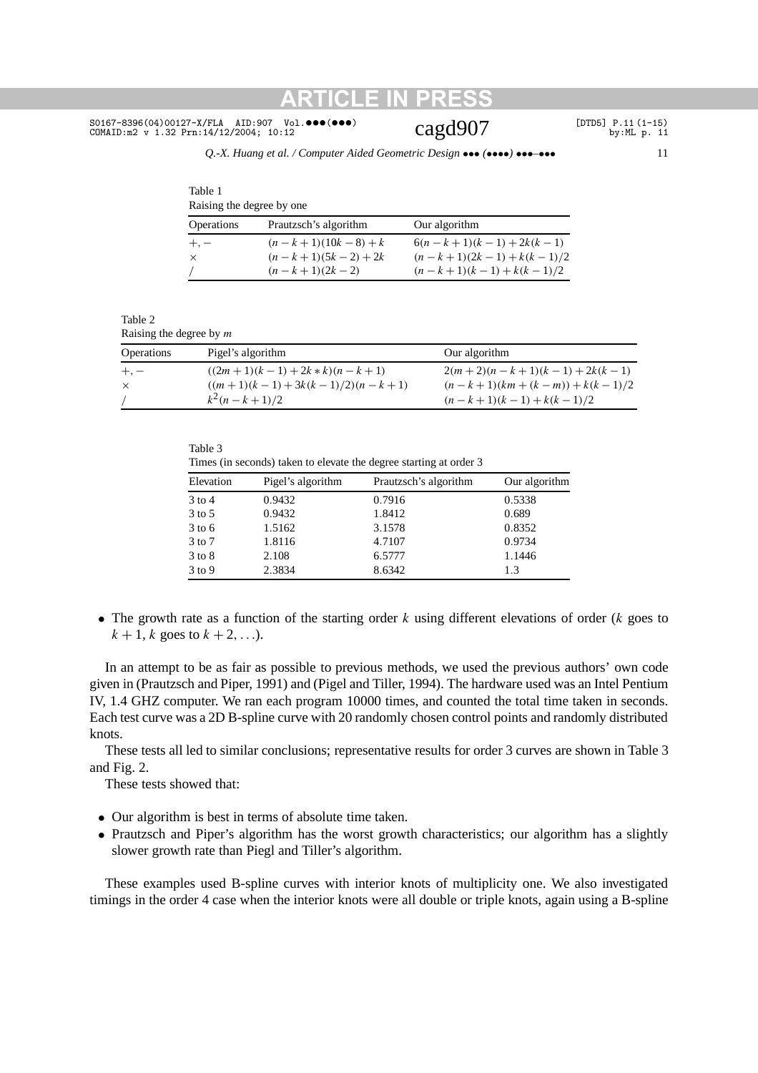## $SO167-8396(04)00127-X/FLA$  AID:907 Vol.•••(•••)  $Cagd907$  [DTD5] P.11(1-15) by:ML p. 11

Table 1

#### *Q.-X. Huang et al. / Computer Aided Geometric Design* ••• *(*••••*)* •••*–*••• 11

| Raising the degree by one |                       |                            |  |
|---------------------------|-----------------------|----------------------------|--|
| <b>Operations</b>         | Prautzsch's algorithm | Our algorithm              |  |
| $+,-$                     | $(n-k+1)(10k-8) + k$  | $6(n-k+1)(k-1) + 2k(k-1)$  |  |
| $\times$                  | $(n-k+1)(5k-2) + 2k$  | $(n-k+1)(2k-1) + k(k-1)/2$ |  |
|                           | $(n-k+1)(2k-2)$       | $(n-k+1)(k-1) + k(k-1)/2$  |  |

Table 2 Raising the degree by *m*

| <b>Operations</b> | Pigel's algorithm                 | Our algorithm                  |
|-------------------|-----------------------------------|--------------------------------|
| $+,-$             | $((2m+1)(k-1)+2k*k)(n-k+1)$       | $2(m+2)(n-k+1)(k-1) + 2k(k-1)$ |
| $\times$          | $((m+1)(k-1) + 3k(k-1)/2)(n-k+1)$ | $(n-k+1)(km+(k-m))+k(k-1)/2$   |
|                   | $k^2(n-k+1)/2$                    | $(n-k+1)(k-1) + k(k-1)/2$      |

| ۰, |  |
|----|--|
|----|--|

Times (in seconds) taken to elevate the degree starting at order 3

| Pigel's algorithm | Prautzsch's algorithm | Our algorithm |
|-------------------|-----------------------|---------------|
| 0.9432            | 0.7916                | 0.5338        |
| 0.9432            | 1.8412                | 0.689         |
| 1.5162            | 3.1578                | 0.8352        |
| 1.8116            | 4.7107                | 0.9734        |
| 2.108             | 6.5777                | 1.1446        |
| 2.3834            | 8.6342                | 1.3           |
|                   |                       |               |

• The growth rate as a function of the starting order *k* using different elevations of order (*k* goes to  $k + 1$ , *k* goes to  $k + 2$ , ...).

In an attempt to be as fair as possible to previous methods, we used the previous authors' own code given in (Prautzsch and Piper, 1991) and (Pigel and Tiller, 1994). The hardware used was an Intel Pentium IV, 1.4 GHZ computer. We ran each program 10000 times, and counted the total time taken in seconds. Each test curve was a 2D B-spline curve with 20 randomly chosen control points and randomly distributed knots.

These tests all led to similar conclusions; representative results for order 3 curves are shown in Table 3 and Fig. 2.

These tests showed that:

- Our algorithm is best in terms of absolute time taken.
- Prautzsch and Piper's algorithm has the worst growth characteristics; our algorithm has a slightly slower growth rate than Piegl and Tiller's algorithm.

These examples used B-spline curves with interior knots of multiplicity one. We also investigated timings in the order 4 case when the interior knots were all double or triple knots, again using a B-spline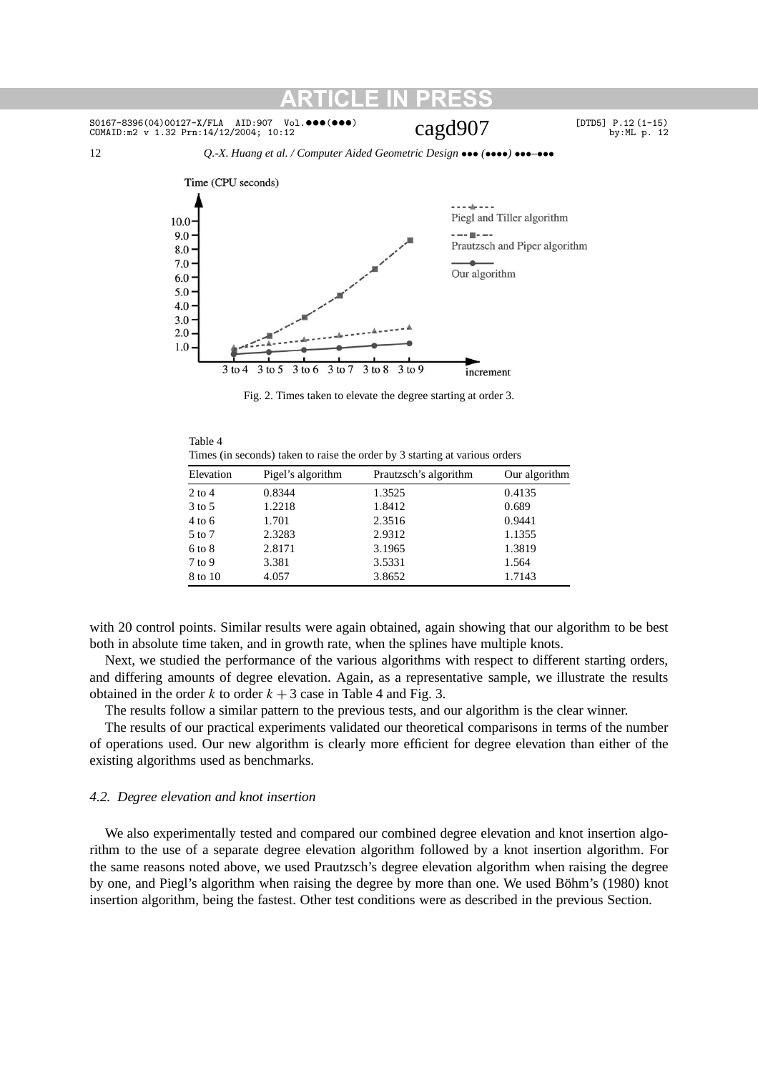#### S0167-8396(04)00127-X/FLA AID:907 Vol.•••(•••) CAgd907 [DTD5] P.12(1-15) cOMAID:m2 v 1.32 Prn:14/12/2004; 10:12  $COMAID:m2 v 1.32 Prn: 14/12/2004; 10:12$

12 *Q.-X. Huang et al. / Computer Aided Geometric Design* ••• *(*••••*)* •••*–*•••



Fig. 2. Times taken to elevate the degree starting at order 3.

| Table 4                                                                     |
|-----------------------------------------------------------------------------|
| Times (in seconds) taken to raise the order by 3 starting at various orders |

| Elevation  | Pigel's algorithm | Prautzsch's algorithm | Our algorithm |
|------------|-------------------|-----------------------|---------------|
| $2$ to 4   | 0.8344            | 1.3525                | 0.4135        |
| $3$ to 5   | 1.2218            | 1.8412                | 0.689         |
| $4$ to 6   | 1.701             | 2.3516                | 0.9441        |
| 5 to 7     | 2.3283            | 2.9312                | 1.1355        |
| $6$ to $8$ | 2.8171            | 3.1965                | 1.3819        |
| $7$ to 9   | 3.381             | 3.5331                | 1.564         |
| 8 to 10    | 4.057             | 3.8652                | 1.7143        |

with 20 control points. Similar results were again obtained, again showing that our algorithm to be best both in absolute time taken, and in growth rate, when the splines have multiple knots.

Next, we studied the performance of the various algorithms with respect to different starting orders, and differing amounts of degree elevation. Again, as a representative sample, we illustrate the results obtained in the order  $k$  to order  $k + 3$  case in Table 4 and Fig. 3.

The results follow a similar pattern to the previous tests, and our algorithm is the clear winner.

The results of our practical experiments validated our theoretical comparisons in terms of the number of operations used. Our new algorithm is clearly more efficient for degree elevation than either of the existing algorithms used as benchmarks.

### *4.2. Degree elevation and knot insertion*

We also experimentally tested and compared our combined degree elevation and knot insertion algorithm to the use of a separate degree elevation algorithm followed by a knot insertion algorithm. For the same reasons noted above, we used Prautzsch's degree elevation algorithm when raising the degree by one, and Piegl's algorithm when raising the degree by more than one. We used Böhm's (1980) knot insertion algorithm, being the fastest. Other test conditions were as described in the previous Section.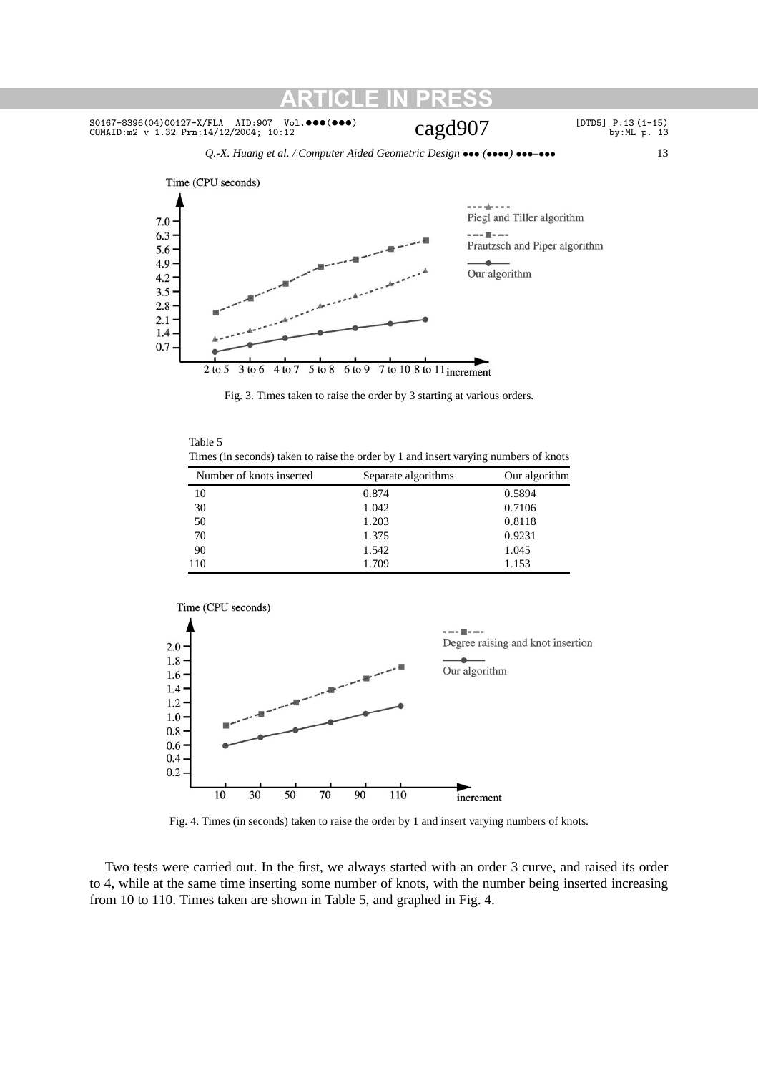*Q.-X. Huang et al. / Computer Aided Geometric Design* ••• *(*••••*)* •••*–*••• 13



Fig. 3. Times taken to raise the order by 3 starting at various orders.

| Table 5                                                                              |  |
|--------------------------------------------------------------------------------------|--|
| Times (in seconds) taken to raise the order by 1 and insert varying numbers of knots |  |

| Number of knots inserted | Separate algorithms | Our algorithm |
|--------------------------|---------------------|---------------|
| 10                       | 0.874               | 0.5894        |
| 30                       | 1.042               | 0.7106        |
| 50                       | 1.203               | 0.8118        |
| 70                       | 1.375               | 0.9231        |
| 90                       | 1.542               | 1.045         |
| 110                      | 1.709               | 1.153         |



Fig. 4. Times (in seconds) taken to raise the order by 1 and insert varying numbers of knots.

Two tests were carried out. In the first, we always started with an order 3 curve, and raised its order to 4, while at the same time inserting some number of knots, with the number being inserted increasing from 10 to 110. Times taken are shown in Table 5, and graphed in Fig. 4.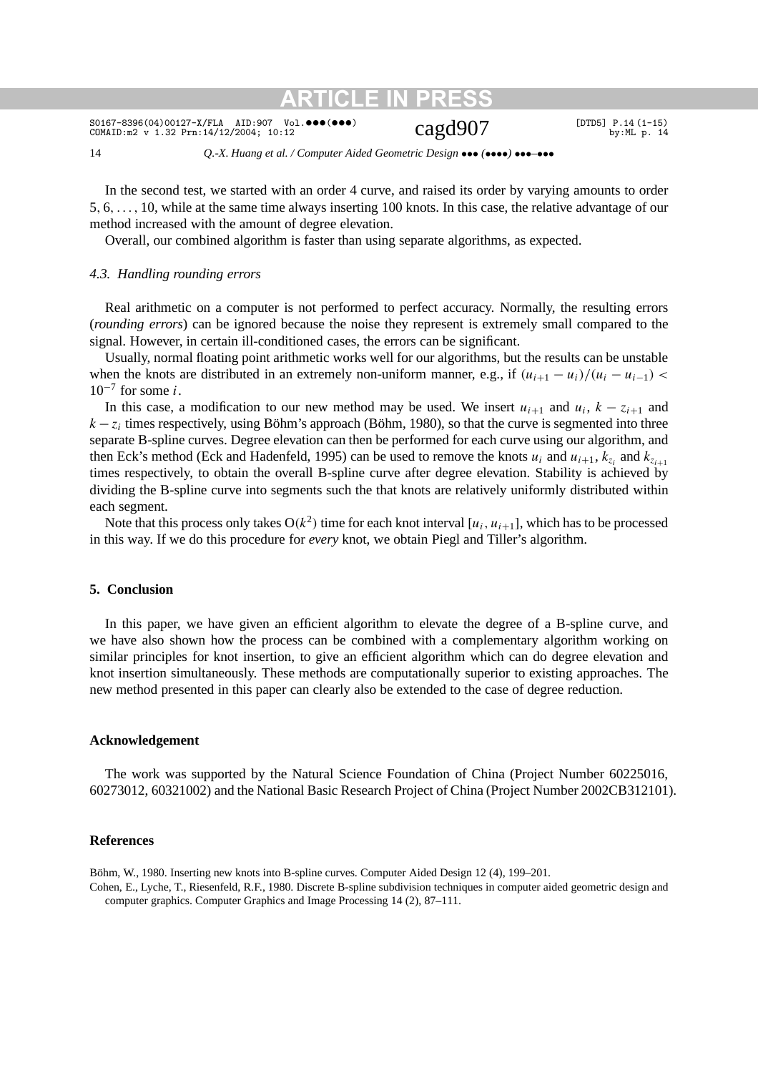$SO167-8396(04)00127-X/FLA$  AID:907 Vol.•••(•••)  $Cagd907$  [DTD5] P.14(1-15) by:ML p. 14

14 *Q.-X. Huang et al. / Computer Aided Geometric Design* ••• *(*••••*)* •••*–*•••

In the second test, we started with an order 4 curve, and raised its order by varying amounts to order 5*,* 6*,...,* 10, while at the same time always inserting 100 knots. In this case, the relative advantage of our method increased with the amount of degree elevation.

Overall, our combined algorithm is faster than using separate algorithms, as expected.

### *4.3. Handling rounding errors*

Real arithmetic on a computer is not performed to perfect accuracy. Normally, the resulting errors (*rounding errors*) can be ignored because the noise they represent is extremely small compared to the signal. However, in certain ill-conditioned cases, the errors can be significant.

Usually, normal floating point arithmetic works well for our algorithms, but the results can be unstable when the knots are distributed in an extremely non-uniform manner, e.g., if  $(u_{i+1} - u_i)/(u_i - u_{i-1})$  < 10<sup>−</sup><sup>7</sup> for some *i*.

In this case, a modification to our new method may be used. We insert  $u_{i+1}$  and  $u_i$ ,  $k - z_{i+1}$  and  $k - z_i$  times respectively, using Böhm's approach (Böhm, 1980), so that the curve is segmented into three separate B-spline curves. Degree elevation can then be performed for each curve using our algorithm, and then Eck's method (Eck and Hadenfeld, 1995) can be used to remove the knots  $u_i$  and  $u_{i+1}$ ,  $k_{z_i}$  and  $k_{z_{i+1}}$ times respectively, to obtain the overall B-spline curve after degree elevation. Stability is achieved by dividing the B-spline curve into segments such the that knots are relatively uniformly distributed within each segment.

Note that this process only takes  $O(k^2)$  time for each knot interval  $[u_i, u_{i+1}]$ , which has to be processed in this way. If we do this procedure for *every* knot, we obtain Piegl and Tiller's algorithm.

### **5. Conclusion**

In this paper, we have given an efficient algorithm to elevate the degree of a B-spline curve, and we have also shown how the process can be combined with a complementary algorithm working on similar principles for knot insertion, to give an efficient algorithm which can do degree elevation and knot insertion simultaneously. These methods are computationally superior to existing approaches. The new method presented in this paper can clearly also be extended to the case of degree reduction.

### **Acknowledgement**

The work was supported by the Natural Science Foundation of China (Project Number 60225016, 60273012, 60321002) and the National Basic Research Project of China (Project Number 2002CB312101).

### **References**

Böhm, W., 1980. Inserting new knots into B-spline curves. Computer Aided Design 12 (4), 199–201.

Cohen, E., Lyche, T., Riesenfeld, R.F., 1980. Discrete B-spline subdivision techniques in computer aided geometric design and computer graphics. Computer Graphics and Image Processing 14 (2), 87–111.